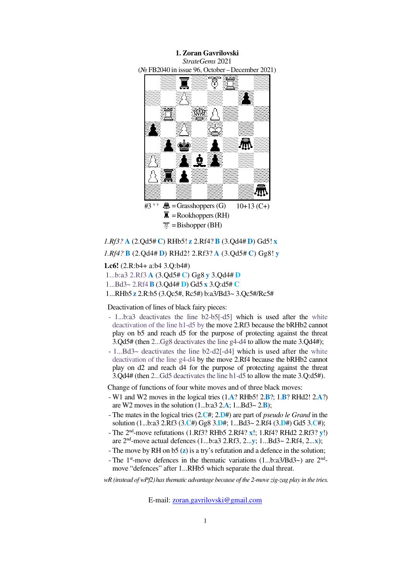**1. Zoran Gavrilovski** *StrateGems* 2021 (№ FB2040 in issue 96, October – December 2021)



# *1.Rf3?* **A** (2.Qd5# **C**) RHb5! **z** 2.Rf4? **B** (3.Qd4# **D**) Gd5! **x**

*1.Rf4?* **B** (2.Qd4# **D**) RHd2! 2.Rf3? **A** (3.Qd5# **C**) Gg8! **y**

#### **1.c6!** (2.R:b4+ a:b4 3.Q:b4#)

```
1...b:a3 2.Rf3 A (3.Qd5# C) Gg8 y 3.Qd4# D
```

```
1...Bd3~ 2.Rf4B (3.Qd4# D) Gd5 x 3.Q:d5# C
```

```
 1...RHb5 z 2.R:b5 (3.Qc5#, Rc5#) b:a3/Bd3~ 3.Qc5#/Rc5#
```
Deactivation of lines of black fairy pieces:

- 1...b:a3 deactivates the line b2-b5[-d5] which is used after the white deactivation of the line h1-d5 by the move 2.Rf3 because the bRHb2 cannot play on b5 and reach d5 for the purpose of protecting against the threat 3.Qd5# (then 2...Gg8 deactivates the line g4-d4 to allow the mate 3.Qd4#);
- 1...Bd3~ deactivates the line b2-d2[-d4] which is used after the white deactivation of the line g4-d4 by the move 2.Rf4 because the bRHb2 cannot play on d2 and reach d4 for the purpose of protecting against the threat 3.Qd4# (then 2...Gd5 deactivates the line h1-d5 to allow the mate 3.Q:d5#).

Change of functions of four white moves and of three black moves:

- W1 and W2 moves in the logical tries (1.**A**? RHb5! 2.**B**?; 1.**B**? RHd2! 2.**A**?) are W2 moves in the solution (1...b:a3 2.**A**; 1...Bd3~ 2.**B**);
- The mates in the logical tries (2.**C**#; 2.**D**#) are part of *pseudo le Grand* in the solution (1...b:a3 2.Rf3 (3.**C**#) Gg8 3.**D**#; 1...Bd3~ 2.Rf4 (3.**D**#) Gd5 3.**C**#);
- The 2nd-move refutations (1.Rf3? RHb5 2.Rf4? **x**!; 1.Rf4? RHd2 2.Rf3? **y**!) are 2nd-move actual defences (1...b:a3 2.Rf3, 2...**y**; 1...Bd3~ 2.Rf4, 2...**x**);
- The move by RH on b5 (**z**) is a try's refutation and a defence in the solution;
- The 1<sup>st</sup>-move defences in the thematic variations  $(1...b:a3/Bd3\sim)$  are  $2<sup>nd</sup>$ move "defences" after 1...RHb5 which separate the dual threat.

*wR (instead of wPf2) has thematic advantage because of the 2-move zig-zag play in the tries.*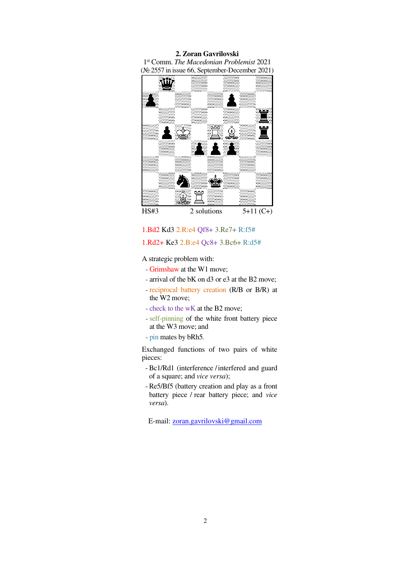## **2. Zoran Gavrilovski** 1 st Comm. *The Macedonian Problemist* 2021 (№ 2557 in issue 66, September-December 2021)



# 1.Bd2 Kd3 2.R:e4 Qf8+ 3.Re7+ R:f5#

## 1.Rd2+ Ke3 2.B:e4 Qc8+ 3.Bc6+ R:d5#

A strategic problem with:

- Grimshaw at the W1 move;
- arrival of the bK on d3 or e3 at the B2 move;
- reciprocal battery creation (R/B or B/R) at the W2 move;
- check to the wK at the B2 move;
- self-pinning of the white front battery piece at the W3 move; and
- pin mates by bRh5*.*

Exchanged functions of two pairs of white pieces:

- Bc1/Rd1 (interference / interfered and guard of a square; and *vice versa*);
- Re5/Bf5 (battery creation and play as a front battery piece / rear battery piece; and *vice versa*).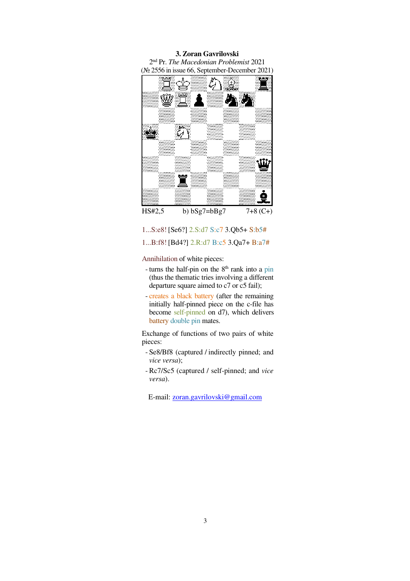**3. Zoran Gavrilovski** 2 nd Pr. *The Macedonian Problemist* 2021 (№ 2556 in issue 66, September-December 2021) Ç Ł Ŵ Ï HS#2,5 b)  $bSg7=bBg7$  7+8 (C+)

1...S:e8! [Se6?] 2.S:d7 S:c7 3.Qb5+ S:b5#

## 1...B:f8! [Bd4?] 2.R:d7 B:c5 3.Qa7+ B:a7#

Annihilation of white pieces:

- turns the half-pin on the  $8<sup>th</sup>$  rank into a pin (thus the thematic tries involving a different departure square aimed to c7 or c5 fail);
- creates a black battery (after the remaining initially half-pinned piece on the c-file has become self-pinned on d7), which delivers battery double pin mates.

Exchange of functions of two pairs of white pieces:

- Se8/Bf8 (captured / indirectly pinned; and *vice versa*);
- Rc7/Sc5 (captured / self-pinned; and *vice versa*).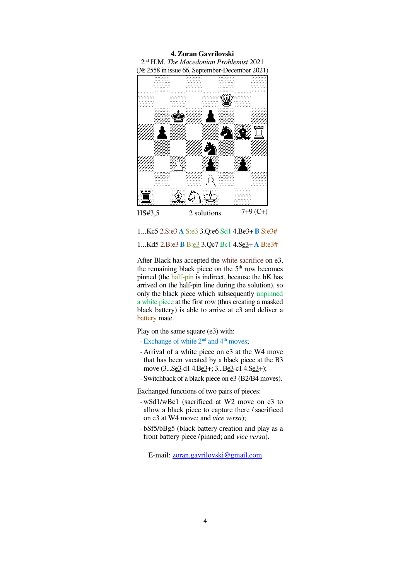**4. Zoran Gavrilovski** 2 nd H.M. *The Macedonian Problemist* 2021 (№ 2558 in issue 66, September-December 2021)



### 1...Kc5 2.S:e3 **A** S:e3 3.Q:e6 Sd1 4.Be3+**B** S:e3#

#### 1...Kd5 2.B:e3**B** B:e3 3.Qc7 Bc1 4.Se3+**A** B:e3#

After Black has accepted the white sacrifice on e3, the remaining black piece on the  $5<sup>th</sup>$  row becomes pinned (the half-pin is indirect, because the bK has arrived on the half-pin line during the solution), so only the black piece which subsequently unpinned a white piece at the first row (thus creating a masked black battery) is able to arrive at e3 and deliver a battery mate.

Play on the same square (e3) with:

- -Exchange of white 2<sup>nd</sup> and 4<sup>th</sup> moves;
- -Arrival of a white piece on e3 at the W4 move that has been vacated by a black piece at the B3 move (3...Se3-d1 4.Be3+; 3...Be3-c1 4.Se3+);
- -Switchback of a black piece on e3 (B2/B4 moves).

Exchanged functions of two pairs of pieces:

- -wSd1/wBc1 (sacrificed at W2 move on e3 to allow a black piece to capture there / sacrificed on e3 at W4 move; and *vice versa*);
- -bSf5/bBg5 (black battery creation and play as a front battery piece / pinned; and *vice versa*).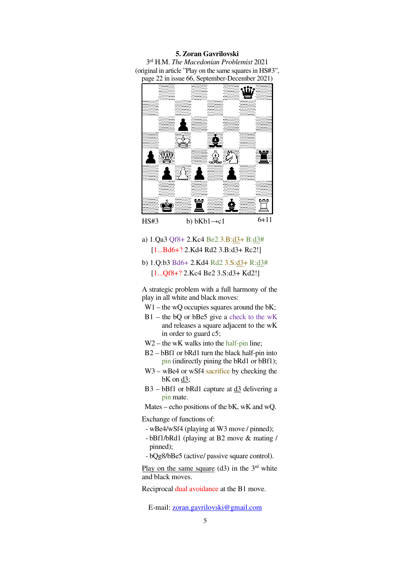### **5. Zoran Gavrilovski**

3 rd H.M. *The Macedonian Problemist* 2021 (original in article "Play on the same squares in HS#3", page 22 in issue 66, September-December 2021)



- a) 1.Qa3 Qf8+ 2.Kc4 Be2 3.B:d3+ B:d3# [1...Bd6+? 2.Kd4 Rd2 3.B:d3+ Rc2!]
- b) 1.Q:b3 Bd6+ 2.Kd4 Rd2 3.S:d3+ R:d3# [1...Qf8+? 2.Kc4 Be2 3.S:d3+ Kd2!]

A strategic problem with a full harmony of the play in all white and black moves:

- W<sub>1</sub> the wQ occupies squares around the bK;
- $B1$  the bQ or bBe5 give a check to the wK and releases a square adjacent to the wK in order to guard c5;
- W<sub>2</sub> the wK walks into the half-pin line;
- B2 bBf1 or bRd1 turn the black half-pin into pin (indirectly pining the bRd1 or bBf1);
- W<sub>3</sub> wBe4 or wSf4 sacrifice by checking the bK on d3;
- B3 bBf1 or bRd1 capture at d3 delivering a pin mate.

Mates – echo positions of the bK, wK and wQ.

Exchange of functions of:

- wBe4/wSf4 (playing at W3 move / pinned);
- bBf1/bRd1 (playing at B2 move & mating / pinned);
- bQg8/bBe5 (active/ passive square control).

Play on the same square (d3) in the  $3<sup>rd</sup>$  white and black moves.

Reciprocal dual avoidance at the B1 move.